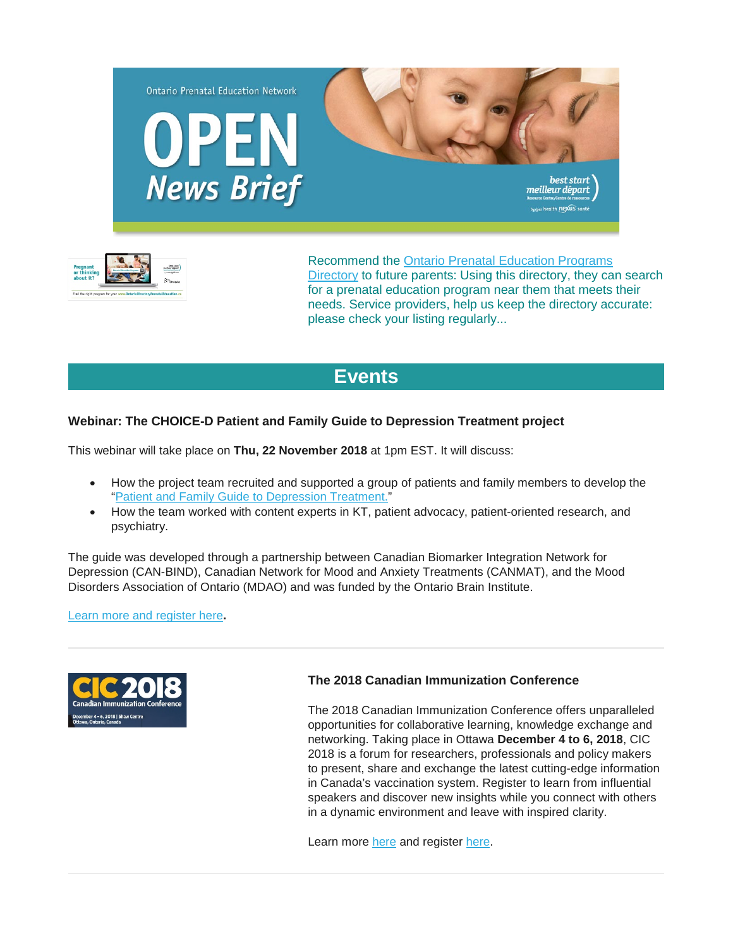



Recommend the [Ontario Prenatal Education Programs](http://ontariodirectoryprenataleducation.ca/)  [Directory](http://ontariodirectoryprenataleducation.ca/) to future parents: Using this directory, they can search for a prenatal education program near them that meets their needs. Service providers, help us keep the directory accurate: please check your listing regularly...

# **[Events](http://)**

# **Webinar: The CHOICE-D Patient and Family Guide to Depression Treatment project**

This webinar will take place on **Thu, 22 November 2018** at 1pm EST. It will discuss:

- How the project team recruited and supported a group of patients and family members to develop the ["Patient and Family Guide to Depression Treatment."](https://www.mooddisorders.ca/node/1320)
- How the team worked with content experts in KT, patient advocacy, patient-oriented research, and psychiatry.

The guide was developed through a partnership between Canadian Biomarker Integration Network for Depression (CAN-BIND), Canadian Network for Mood and Anxiety Treatments (CANMAT), and the Mood Disorders Association of Ontario (MDAO) and was funded by the Ontario Brain Institute.

[Learn more and register here](http://www.eenet.ca/article/choice-d-patient-and-family-guide-depression-treatment-project)**.**



# **The 2018 Canadian Immunization Conference**

The 2018 Canadian Immunization Conference offers unparalleled opportunities for collaborative learning, knowledge exchange and networking. Taking place in Ottawa **December 4 to 6, 2018**, CIC 2018 is a forum for researchers, professionals and policy makers to present, share and exchange the latest cutting-edge information in Canada's vaccination system. Register to learn from influential speakers and discover new insights while you connect with others in a dynamic environment and leave with inspired clarity.

Learn more [here](https://cic-cci.ca/wp-content/uploads/2018/11/CIC-2018-Final-Program.pdf) and register [here.](https://cic-cci.ca/registration/)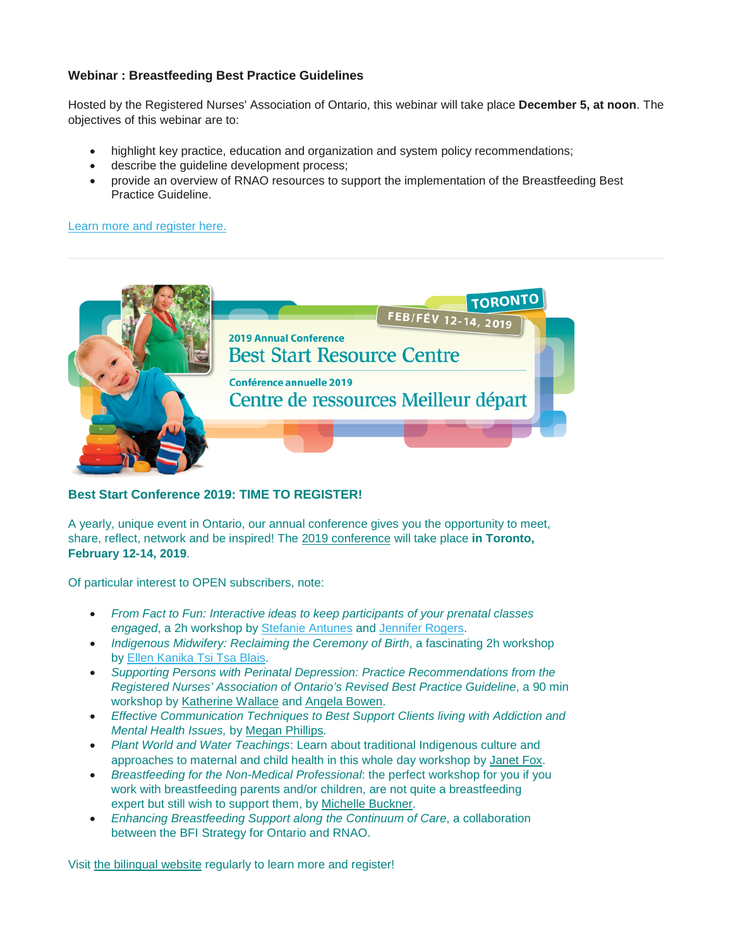# **Webinar : Breastfeeding Best Practice Guidelines**

Hosted by the Registered Nurses' Association of Ontario, this webinar will take place **December 5, at noon**. The objectives of this webinar are to:

- highlight key practice, education and organization and system policy recommendations;
- describe the quideline development process;
- provide an overview of RNAO resources to support the implementation of the Breastfeeding Best Practice Guideline.

[Learn more and register here.](https://cmnrp.us11.list-manage.com/track/click?u=8a441ace1e52ae6e4762ed865&id=ac82e38ba4&e=34dfa22874)



## **Best Start Conference 2019: TIME TO REGISTER!**

A yearly, unique event in Ontario, our annual conference gives you the opportunity to meet, share, reflect, network and be inspired! The [2019 conference](http://en.beststart.org/2019-conference) will take place **in Toronto, February 12-14, 2019**.

Of particular interest to OPEN subscribers, note:

- *From Fact to Fun: Interactive ideas to keep participants of your prenatal classes engaged*, a 2h workshop by [Stefanie Antunes](http://en.beststart.org/2019-Conference/speakers#Antunes) and [Jennifer Rogers.](http://en.beststart.org/2019-Conference/speakers#Rogers)
- *Indigenous Midwifery: Reclaiming the Ceremony of Birth*, a fascinating 2h workshop by Ellen Kanika Tsi Tsa Blais.
- *Supporting Persons with Perinatal Depression: Practice Recommendations from the Registered Nurses' Association of Ontario's Revised Best Practice Guideline*, a 90 min workshop by [Katherine Wallace](https://en.beststart.org/2019-Conference/speakers#Wallace) and [Angela Bowen.](https://en.beststart.org/2019-Conference/speakers#Bowen)
- *Effective Communication Techniques to Best Support Clients living with Addiction and Mental Health Issues,* by [Megan Phillips](http://en.beststart.org/2019-Conference/speakers#Phillips)*.*
- *Plant World and Water Teachings*: Learn about traditional Indigenous culture and approaches to maternal and child health in this whole day workshop by [Janet Fox.](http://en.beststart.org/2019-Conference/speakers#Fox)
- *Breastfeeding for the Non-Medical Professional*: the perfect workshop for you if you work with breastfeeding parents and/or children, are not quite a breastfeeding expert but still wish to support them, by [Michelle Buckner.](http://en.beststart.org/2019-Conference/speakers#Buckner)
- *Enhancing Breastfeeding Support along the Continuum of Care*, a collaboration between the BFI Strategy for Ontario and RNAO.

Visit [the bilingual website](http://en.beststart.org/2019-Conference) regularly to learn more and register!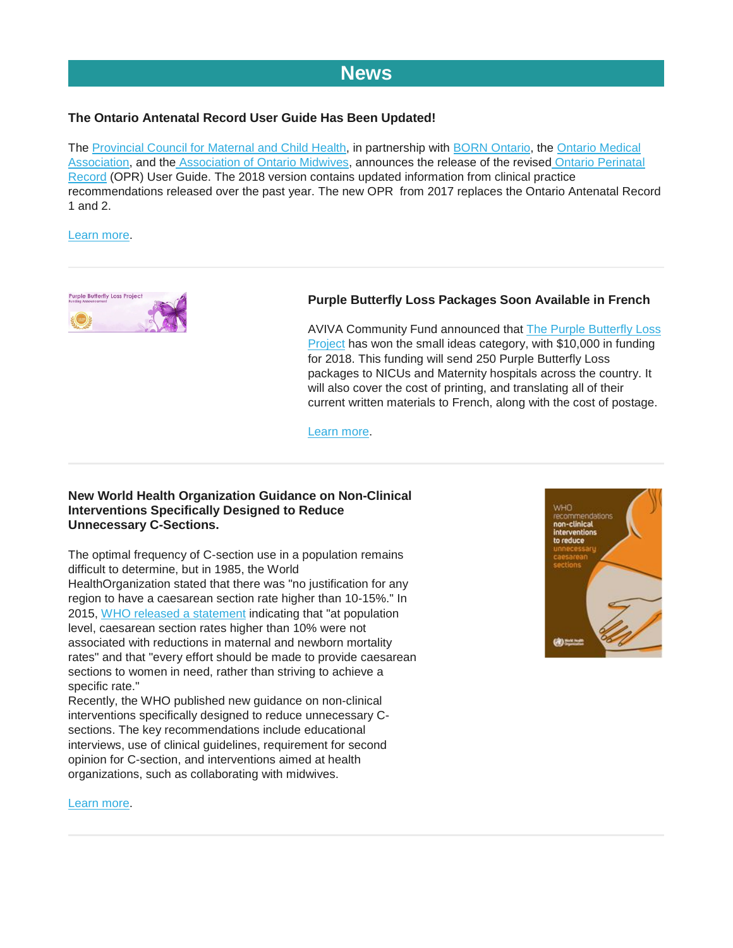# **[News](http://)**

# **The Ontario Antenatal Record User Guide Has Been Updated!**

The [Provincial Council for Maternal and Child Health,](http://www.pcmch.on.ca/) in partnership with [BORN Ontario,](https://www.bornontario.ca/) the [Ontario Medical](https://www.oma.org/)  [Association,](https://www.oma.org/) and the [Association of Ontario Midwives,](https://www.ontariomidwives.ca/) announces the release of the revised [Ontario Perinatal](http://www.forms.ssb.gov.on.ca/mbs/ssb/forms/ssbforms.nsf/MinistryDetail?OpenForm&ACT=RDR&TAB=PROFILE&ENV=WWE&NO=5046-64)  [Record](http://www.forms.ssb.gov.on.ca/mbs/ssb/forms/ssbforms.nsf/MinistryDetail?OpenForm&ACT=RDR&TAB=PROFILE&ENV=WWE&NO=5046-64) (OPR) User Guide. The 2018 version contains updated information from clinical practice recommendations released over the past year. The new OPR from 2017 replaces the Ontario Antenatal Record 1 and 2.

#### [Learn more.](http://www.pcmch.on.ca/health-care-providers/maternity-care/pcmch-strategies-and-initiatives/ontario-perinatal-record-2017/)



# **Purple Butterfly Loss Packages Soon Available in French**

AVIVA Community Fund announced that **The Purple Butterfly Loss** [Project](https://www.neonatalbutterflyproject.org/about-us/) has won the small ideas category, with \$10,000 in funding for 2018. This funding will send 250 Purple Butterfly Loss packages to NICUs and Maternity hospitals across the country. It will also cover the cost of printing, and translating all of their current written materials to French, along with the cost of postage.

[Learn more.](http://secure.campaigner.com/csb/Public/show/cgtd-v53cr--ioshz-7lifq3g2)

## **New World Health Organization Guidance on Non-Clinical Interventions Specifically Designed to Reduce Unnecessary C-Sections.**

The optimal frequency of C-section use in a population remains difficult to determine, but in 1985, the World HealthOrganization stated that there was "no justification for any region to have a caesarean section rate higher than 10-15%." In 2015, [WHO released a statement](https://www.ncbi.nlm.nih.gov/pmc/articles/PMC5034743/) indicating that "at population level, caesarean section rates higher than 10% were not associated with reductions in maternal and newborn mortality rates" and that "every effort should be made to provide caesarean sections to women in need, rather than striving to achieve a specific rate."

Recently, the WHO published new guidance on non-clinical interventions specifically designed to reduce unnecessary Csections. The key recommendations include educational interviews, use of clinical guidelines, requirement for second opinion for C-section, and interventions aimed at health organizations, such as collaborating with midwives.

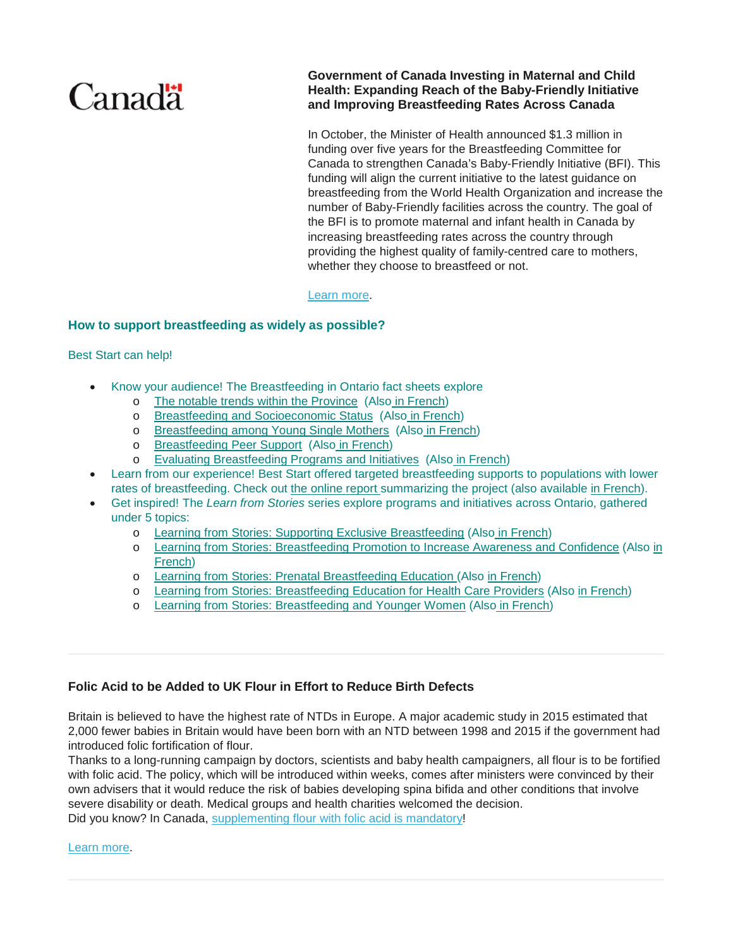# **Canadä**

**Government of Canada Investing in Maternal and Child Health: Expanding Reach of the Baby-Friendly Initiative and Improving Breastfeeding Rates Across Canada**

In October, the Minister of Health announced \$1.3 million in funding over five years for the Breastfeeding Committee for Canada to strengthen Canada's Baby-Friendly Initiative (BFI). This funding will align the current initiative to the latest guidance on breastfeeding from the World Health Organization and increase the number of Baby-Friendly facilities across the country. The goal of the BFI is to promote maternal and infant health in Canada by increasing breastfeeding rates across the country through providing the highest quality of family-centred care to mothers, whether they choose to breastfeed or not.

#### [Learn more.](https://www.newswire.ca/news-releases/government-of-canada-investing-in-maternal-and-child-health-695188151.html)

## **How to support breastfeeding as widely as possible?**

#### Best Start can help!

- Know your audience! The Breastfeeding in Ontario fact sheets explore
	- o [The notable trends within the Province](https://www.beststart.org/resources/breastfeeding/B15-E_Breastfeeding_factsheet_1_rev.pdf) (Als[o](https://www.beststart.org/resources/breastfeeding/learningfromstories/B31_Case_Study_French_final.pdf) [in French\)](https://www.beststart.org/resources/breastfeeding/B15-F_Breastfeeding_factsheet_1_FR.pdf)
	- o [Breastfeeding and Socioeconomic Status](https://www.beststart.org/resources/breastfeeding/B16-E_Breastfeeding_factsheet_2_rev.pdf) (Also [in French\)](https://www.beststart.org/resources/breastfeeding/B16-F_Breastfeeding_factsheet_2_FR.pdf)
	- o [Breastfeeding among Young Single Mothers](https://www.beststart.org/resources/breastfeeding/B17-E_Breastfeeding_factsheet_3_rev.pdf) (Also [in French\)](https://www.beststart.org/resources/breastfeeding/B17-F_Breastfeeding_factsheet_3_FR.pdf)
	- o [Breastfeeding Peer Support](https://www.beststart.org/resources/breastfeeding/B18-E_Breastfeeding_factsheet_4_rev.pdf) (Also [in French\)](https://www.beststart.org/resources/breastfeeding/B18-F_Breastfeeding_factsheet_4_FR_rev.pdf)
	- o [Evaluating Breastfeeding Programs and Initiatives](https://www.beststart.org/resources/breastfeeding/B25_BF_evaluation_factsheet_fnl_EN.pdf) (Also [i](https://www.beststart.org/resources/breastfeeding/learningfromstories/B31_Case_Study_French_final.pdf)[n French\)](https://www.beststart.org/resources/breastfeeding/B25_BF_evaluating_factsheet_fnl_FR.pdf)
- Learn from our experience! Best Start offered targeted breastfeeding supports to populations with lower rates of breastfeeding. Check out [the online report](https://www.beststart.org/resources/breastfeeding/B32_Report_Final_LR_ENG.pdf) summarizing the project (also available [in French\)](https://www.beststart.org/resources/breastfeeding/B32_Rapport_Finale_LR_FR.pdf).
- Get inspired! The *Learn from Stories* series explore programs and initiatives across Ontario, gathered under 5 topics:
	- o [Learning from Stories: Supporting Exclusive Breastfeeding](https://www.beststart.org/resources/breastfeeding/learningfromstories/B31_Case_Study_final_Eng.pdf) (Also [in French\)](https://www.beststart.org/resources/breastfeeding/learningfromstories/B31_Case_Study_French_final.pdf)
	- o [Learning from Stories: Breastfeeding Promotion to Increase Awareness and Confidence](https://www.beststart.org/resources/breastfeeding/learningfromstories/BSRC_Case_Study_B30_final_ENG.pdf) (Also [in](https://www.beststart.org/resources/breastfeeding/learningfromstories/B30_CaseStudy_French_final.pdf)  [French\)](https://www.beststart.org/resources/breastfeeding/learningfromstories/B30_CaseStudy_French_final.pdf)
	- o [Learning from Stories: Prenatal Breastfeeding Education](https://www.beststart.org/resources/breastfeeding/learningfromstories/BSRC_Case_Study_B29_final_ENG.pdf) (Also [in French\)](https://www.beststart.org/resources/breastfeeding/learningfromstories/B29_CaseStudy_French_final.pdf)
	- o [Learning from Stories: Breastfeeding Education for Health Care Providers](https://www.beststart.org/resources/breastfeeding/learningfromstories/BSRC_Case_Study_B28_final_ENG.pdf) (Also [in French\)](https://www.beststart.org/resources/breastfeeding/learningfromstories/B28_CaseStudy_French_final.pdf)
	- o [Learning from Stories: Breastfeeding and Younger Women](https://www.beststart.org/resources/breastfeeding/learningfromstories/BSRC_Case_Study_B27_final_ENG.pdf) (Also [in French\)](https://www.beststart.org/resources/breastfeeding/learningfromstories/B27_CaseStudy_French_final.pdf)

## **Folic Acid to be Added to UK Flour in Effort to Reduce Birth Defects**

Britain is believed to have the highest rate of NTDs in Europe. A major academic study in 2015 estimated that 2,000 fewer babies in Britain would have been born with an NTD between 1998 and 2015 if the government had introduced folic fortification of flour.

Thanks to a long-running campaign by doctors, scientists and baby health campaigners, all flour is to be fortified with folic acid. The policy, which will be introduced within weeks, comes after ministers were convinced by their own advisers that it would reduce the risk of babies developing spina bifida and other conditions that involve severe disability or death. Medical groups and health charities welcomed the decision. Did you know? In Canada, [supplementing flour with folic acid is mandatory!](http://www.inspection.gc.ca/food/labelling/food-labelling-for-industry/nutrient-content/reference-information/eng/1389908857542/1389908896254?chap=1)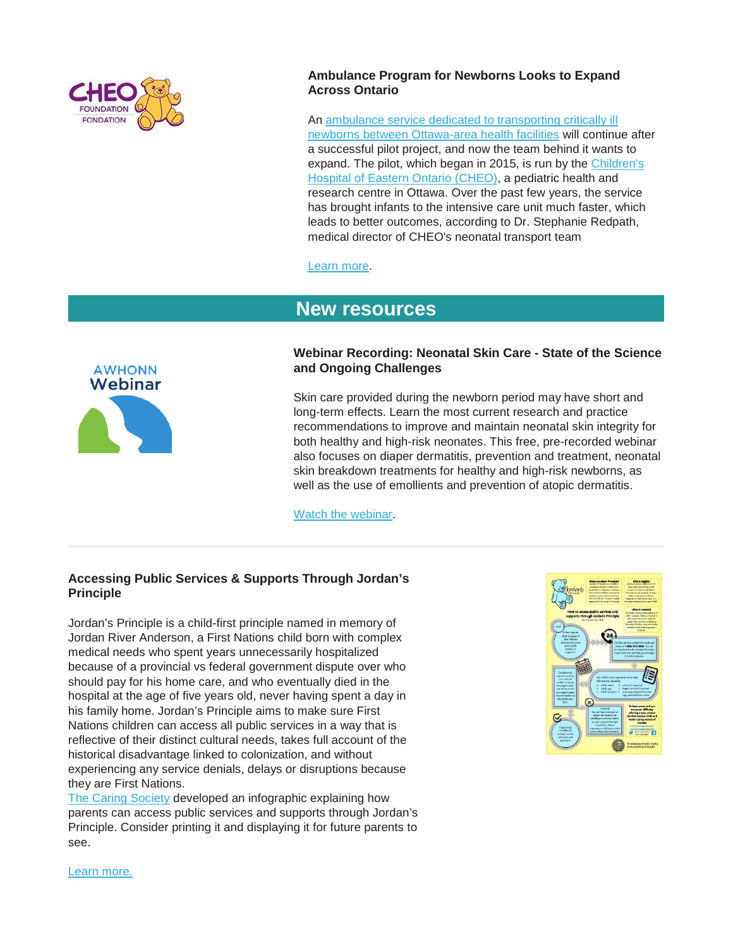

## **Ambulance Program for Newborns Looks to Expand Across Ontario**

An [ambulance service dedicated to transporting critically ill](https://cheofoundation.donordrive.com/?fuseaction=cms.page&id=1154)  [newborns between Ottawa-area health facilities](https://cheofoundation.donordrive.com/?fuseaction=cms.page&id=1154) will continue after a successful pilot project, and now the team behind it wants to expand. The pilot, which began in 2015, is run by the [Children's](http://www.cheo.on.ca/)  [Hospital of Eastern Ontario \(CHEO\),](http://www.cheo.on.ca/) a pediatric health and research centre in Ottawa. Over the past few years, the service has brought infants to the intensive care unit much faster, which leads to better outcomes, according to Dr. Stephanie Redpath, medical director of CHEO's neonatal transport team

[Learn more.](https://cmnrp.us11.list-manage.com/track/click?u=8a441ace1e52ae6e4762ed865&id=5364939565&e=34dfa22874)

# **[New resources](http://)**



# **Webinar Recording: Neonatal Skin Care - State of the Science and Ongoing Challenges**

Skin care provided during the newborn period may have short and long-term effects. Learn the most current research and practice recommendations to improve and maintain neonatal skin integrity for both healthy and high-risk neonates. This free, pre-recorded webinar also focuses on diaper dermatitis, prevention and treatment, neonatal skin breakdown treatments for healthy and high-risk newborns, as well as the use of emollients and prevention of atopic dermatitis.

[Watch the webinar.](http://learning.awhonn.org/diweb/catalog/item/id/2459038)

## **Accessing Public Services & Supports Through Jordan's Principle**

Jordan's Principle is a child-first principle named in memory of Jordan River Anderson, a First Nations child born with complex medical needs who spent years unnecessarily hospitalized because of a provincial vs federal government dispute over who should pay for his home care, and who eventually died in the hospital at the age of five years old, never having spent a day in his family home. Jordan's Principle aims to make sure First Nations children can access all public services in a way that is reflective of their distinct cultural needs, takes full account of the historical disadvantage linked to colonization, and without experiencing any service denials, delays or disruptions because they are First Nations.

[The Caring Society](https://fncaringsociety.com/welcome) developed an infographic explaining how parents can access public services and supports through Jordan's Principle. Consider printing it and displaying it for future parents to see.

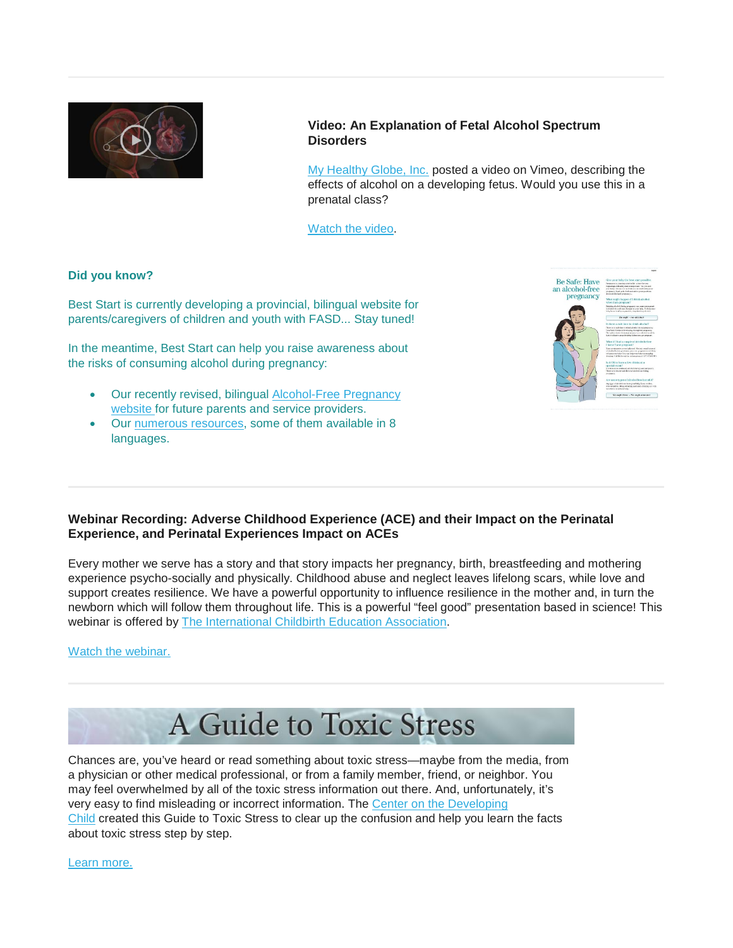

## **Video: An Explanation of Fetal Alcohol Spectrum Disorders**

[My Healthy Globe, Inc.](https://www.myhealthyglobe.com/) posted a video on Vimeo, describing the effects of alcohol on a developing fetus. Would you use this in a prenatal class?

[Watch the video.](https://alcoholcampaign.org/2018/11/03/an-explanation-of-fetal-alcohol-syndrome/)

## **Did you know?**

Best Start is currently developing a provincial, bilingual website for parents/caregivers of children and youth with FASD... Stay tuned!

In the meantime, Best Start can help you raise awareness about the risks of consuming alcohol during pregnancy:

- Our recently revised, bilingual [Alcohol-Free Pregnancy](https://www.alcoholfreepregnancy.ca/)  [website](https://www.alcoholfreepregnancy.ca/) for future parents and service providers.
- Our [numerous resources,](https://www.beststart.org/cgi-bin/commerce.cgi?search=action&category=A00E&advanced=yes&sortkey=sku&sortorder=descending) some of them available in 8 languages.



# **Webinar Recording: Adverse Childhood Experience (ACE) and their Impact on the Perinatal Experience, and Perinatal Experiences Impact on ACEs**

Every mother we serve has a story and that story impacts her pregnancy, birth, breastfeeding and mothering experience psycho-socially and physically. Childhood abuse and neglect leaves lifelong scars, while love and support creates resilience. We have a powerful opportunity to influence resilience in the mother and, in turn the newborn which will follow them throughout life. This is a powerful "feel good" presentation based in science! This webinar is offered by [The International Childbirth Education Association.](https://icea.org/)

## [Watch the webinar.](https://icea.org/adverse-childhood-experiences-aces-and-their-impact-on-the-perinatal-experience-and-the-perinatal-experiences-impact-on-aces/)



Chances are, you've heard or read something about toxic stress—maybe from the media, from a physician or other medical professional, or from a family member, friend, or neighbor. You may feel overwhelmed by all of the toxic stress information out there. And, unfortunately, it's very easy to find misleading or incorrect information. The Center on the Developing [Child](https://developingchild.harvard.edu/) created this Guide to Toxic Stress to clear up the confusion and help you learn the facts about toxic stress step by step.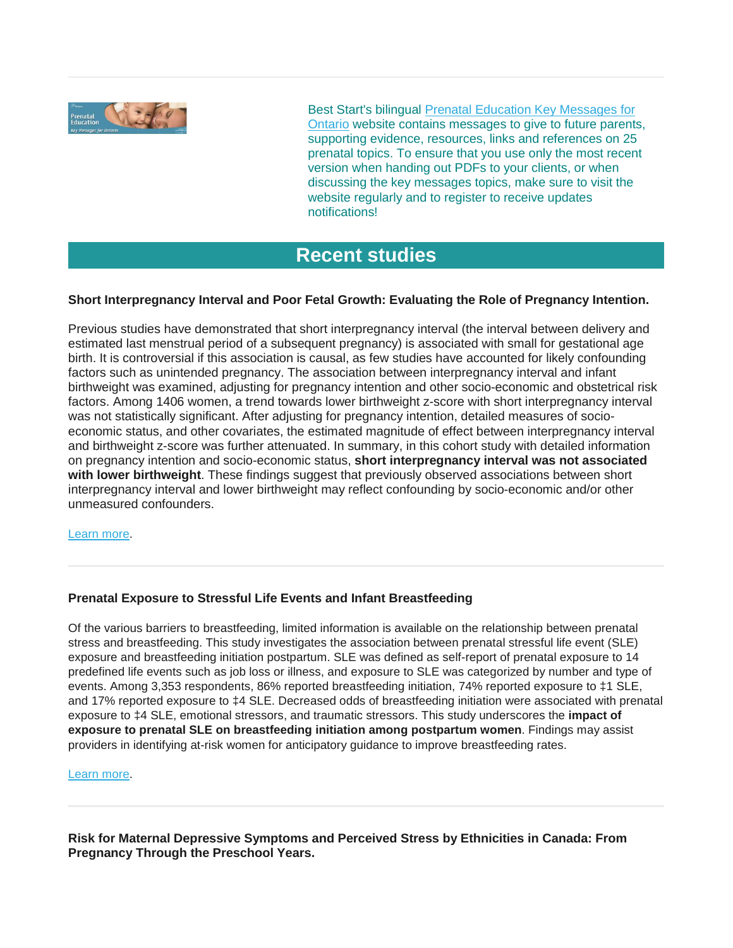

Best Start's bilingual [Prenatal Education](http://www.ontarioprenataleducation.ca/) Key Messages for [Ontario](http://www.ontarioprenataleducation.ca/) website contains messages to give to future parents, supporting evidence, resources, links and references on 25 prenatal topics. To ensure that you use only the most recent version when handing out PDFs to your clients, or when discussing the key messages topics, make sure to visit the website regularly and to register to receive updates notifications!

# **[Recent studies](http://)**

# **Short Interpregnancy Interval and Poor Fetal Growth: Evaluating the Role of Pregnancy Intention.**

Previous studies have demonstrated that short interpregnancy interval (the interval between delivery and estimated last menstrual period of a subsequent pregnancy) is associated with small for gestational age birth. It is controversial if this association is causal, as few studies have accounted for likely confounding factors such as unintended pregnancy. The association between interpregnancy interval and infant birthweight was examined, adjusting for pregnancy intention and other socio-economic and obstetrical risk factors. Among 1406 women, a trend towards lower birthweight z-score with short interpregnancy interval was not statistically significant. After adjusting for pregnancy intention, detailed measures of socioeconomic status, and other covariates, the estimated magnitude of effect between interpregnancy interval and birthweight z-score was further attenuated. In summary, in this cohort study with detailed information on pregnancy intention and socio-economic status, **short interpregnancy interval was not associated with lower birthweight**. These findings suggest that previously observed associations between short interpregnancy interval and lower birthweight may reflect confounding by socio-economic and/or other unmeasured confounders.

[Learn more.](https://www.ncbi.nlm.nih.gov/pubmed/30326141)

## **Prenatal Exposure to Stressful Life Events and Infant Breastfeeding**

Of the various barriers to breastfeeding, limited information is available on the relationship between prenatal stress and breastfeeding. This study investigates the association between prenatal stressful life event (SLE) exposure and breastfeeding initiation postpartum. SLE was defined as self-report of prenatal exposure to 14 predefined life events such as job loss or illness, and exposure to SLE was categorized by number and type of events. Among 3,353 respondents, 86% reported breastfeeding initiation, 74% reported exposure to ‡1 SLE, and 17% reported exposure to ‡4 SLE. Decreased odds of breastfeeding initiation were associated with prenatal exposure to ‡4 SLE, emotional stressors, and traumatic stressors. This study underscores the **impact of exposure to prenatal SLE on breastfeeding initiation among postpartum women**. Findings may assist providers in identifying at-risk women for anticipatory guidance to improve breastfeeding rates.

#### [Learn more.](https://www.ncbi.nlm.nih.gov/pubmed/29985635)

**Risk for Maternal Depressive Symptoms and Perceived Stress by Ethnicities in Canada: From Pregnancy Through the Preschool Years.**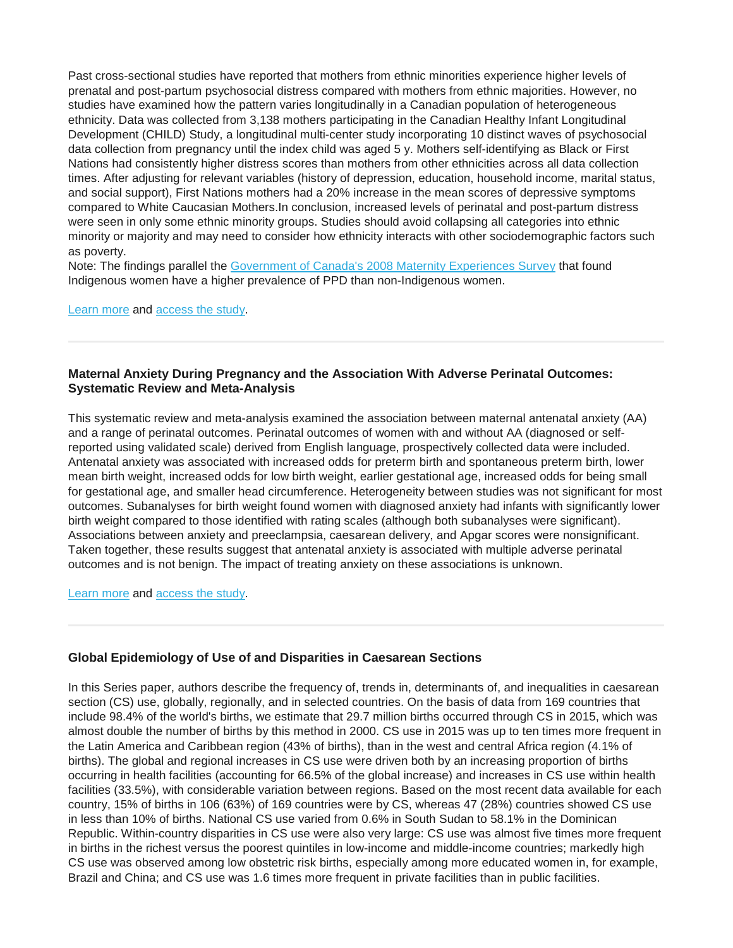Past cross-sectional studies have reported that mothers from ethnic minorities experience higher levels of prenatal and post-partum psychosocial distress compared with mothers from ethnic majorities. However, no studies have examined how the pattern varies longitudinally in a Canadian population of heterogeneous ethnicity. Data was collected from 3,138 mothers participating in the Canadian Healthy Infant Longitudinal Development (CHILD) Study, a longitudinal multi-center study incorporating 10 distinct waves of psychosocial data collection from pregnancy until the index child was aged 5 y. Mothers self-identifying as Black or First Nations had consistently higher distress scores than mothers from other ethnicities across all data collection times. After adjusting for relevant variables (history of depression, education, household income, marital status, and social support), First Nations mothers had a 20% increase in the mean scores of depressive symptoms compared to White Caucasian Mothers.In conclusion, increased levels of perinatal and post-partum distress were seen in only some ethnic minority groups. Studies should avoid collapsing all categories into ethnic minority or majority and may need to consider how ethnicity interacts with other sociodemographic factors such as poverty.

Note: The findings parallel the [Government of Canada's 2008 Maternity Experiences Survey](https://www.canada.ca/en/public-health/services/reports-publications/health-promotion-chronic-disease-prevention-canada-research-policy-practice/vol-38-no-7-8-2018/mental-health-indcators-pregnant-aboriginal-women-maternity-experiences-survey.html) that found Indigenous women have a higher prevalence of PPD than non-Indigenous women.

[Learn more](https://www.huffingtonpost.ca/2018/09/26/indigenous-postpartum-depression_a_23541697/) and [access the study.](https://www.ncbi.nlm.nih.gov/pubmed/30068224)

## **Maternal Anxiety During Pregnancy and the Association With Adverse Perinatal Outcomes: Systematic Review and Meta-Analysis**

This systematic review and meta-analysis examined the association between maternal antenatal anxiety (AA) and a range of perinatal outcomes. Perinatal outcomes of women with and without AA (diagnosed or selfreported using validated scale) derived from English language, prospectively collected data were included. Antenatal anxiety was associated with increased odds for preterm birth and spontaneous preterm birth, lower mean birth weight, increased odds for low birth weight, earlier gestational age, increased odds for being small for gestational age, and smaller head circumference. Heterogeneity between studies was not significant for most outcomes. Subanalyses for birth weight found women with diagnosed anxiety had infants with significantly lower birth weight compared to those identified with rating scales (although both subanalyses were significant). Associations between anxiety and preeclampsia, caesarean delivery, and Apgar scores were nonsignificant. Taken together, these results suggest that antenatal anxiety is associated with multiple adverse perinatal outcomes and is not benign. The impact of treating anxiety on these associations is unknown.

[Learn more](https://www.healio.com/psychiatry/anxiety/news/online/%7Ba2613f30-d35c-4190-9e54-7448ddeaae92%7D/anxiety-during-pregnancy-linked-to-adverse-birth-outcomes) and [access the study.](https://www.ncbi.nlm.nih.gov/pubmed/30192449)

#### **Global Epidemiology of Use of and Disparities in Caesarean Sections**

In this Series paper, authors describe the frequency of, trends in, determinants of, and inequalities in caesarean section (CS) use, globally, regionally, and in selected countries. On the basis of data from 169 countries that include 98.4% of the world's births, we estimate that 29.7 million births occurred through CS in 2015, which was almost double the number of births by this method in 2000. CS use in 2015 was up to ten times more frequent in the Latin America and Caribbean region (43% of births), than in the west and central Africa region (4.1% of births). The global and regional increases in CS use were driven both by an increasing proportion of births occurring in health facilities (accounting for 66.5% of the global increase) and increases in CS use within health facilities (33.5%), with considerable variation between regions. Based on the most recent data available for each country, 15% of births in 106 (63%) of 169 countries were by CS, whereas 47 (28%) countries showed CS use in less than 10% of births. National CS use varied from 0.6% in South Sudan to 58.1% in the Dominican Republic. Within-country disparities in CS use were also very large: CS use was almost five times more frequent in births in the richest versus the poorest quintiles in low-income and middle-income countries; markedly high CS use was observed among low obstetric risk births, especially among more educated women in, for example, Brazil and China; and CS use was 1.6 times more frequent in private facilities than in public facilities.